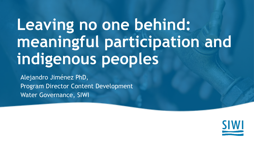# **Leaving no one behind: meaningful participation and indigenous peoples**

Alejandro Jiménez PhD, Program Director Content Development Water Governance, SIWI

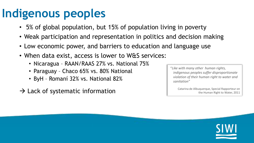## **Indigenous peoples**

- 5% of global population, but 15% of population living in poverty
- Weak participation and representation in politics and decision making
- Low economic power, and barriers to education and language use
- When data exist, access is lower to W&S services:
	- Nicaragua RAAN/RAAS 27% vs. National 75%
	- Paraguay Chaco 65% vs. 80% National
	- ByH Romaní 32% vs. National 82%
- $\rightarrow$  Lack of systematic information

"*Like with many other human rights, indigenous peoples suffer disproportionate violation of their human right to water and sanitation"*

> Catarina de Albuquerque, Special Rapporteur on the Human Right to Water, 2011

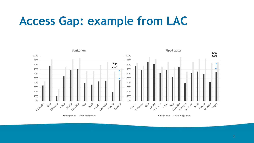### **Access Gap: example from LAC**

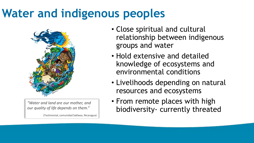## **Water and indigenous peoples**



*"Water and land are our mother, and our quality of life depends on them."* 

(Testimonial, comunidad Saklwas, Nicaragua)

- Close spiritual and cultural relationship between indigenous groups and water
- Hold extensive and detailed knowledge of ecosystems and environmental conditions
- Livelihoods depending on natural resources and ecosystems
- From remote places with high biodiversity- currently threated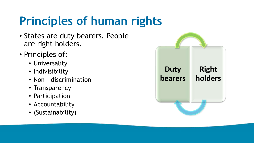## **Principles of human rights**

- States are duty bearers. People are right holders.
- Principles of:
	- Universality
	- Indivisibility
	- Non- discrimination
	- Transparency
	- Participation
	- Accountability
	- (Sustainability)

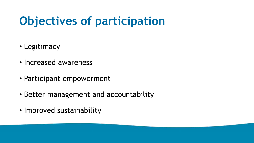## **Objectives of participation**

- Legitimacy
- Increased awareness
- Participant empowerment
- Better management and accountability
- Improved sustainability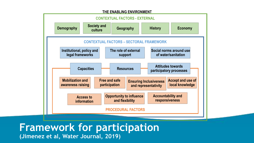

#### **Framework for participation (Jimenez et al, Water Journal, 2019)**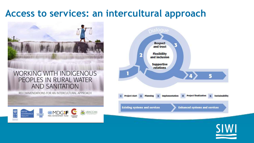### **Access to services: an intercultural approach**



#### WORKING WITH INDIGENOUS PEOPLES IN RURAL WATER **AND SANITATION**

RECOMMENDATIONS FOR AN INTERCULTURAL APPROACH





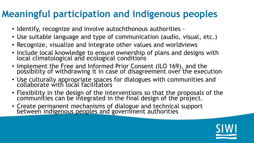### **Meaningful participation and indigenous peoples**

- Identify, recognize and involve autochthonous authorities -
- Use suitable language and type of communication (audio, visual, etc.)
- Recognize, visualize and integrate other values and worldviews
- Include local knowledge to ensure ownership of plans and designs with local climatological and ecological conditions
- Implement the Free and Informed Prior Consent (ILO 169), and the possibility of withdrawing it in case of disagreement over the execution
- Use culturally appropriate spaces for dialogues with communities and collaborate with local facilitators
- Flexibility in the design of the interventions so that the proposals of the communities can be integrated in the final design of the project.
- Create permanent mechanisms of dialogue and technical support between indigenous peoples and government authorities